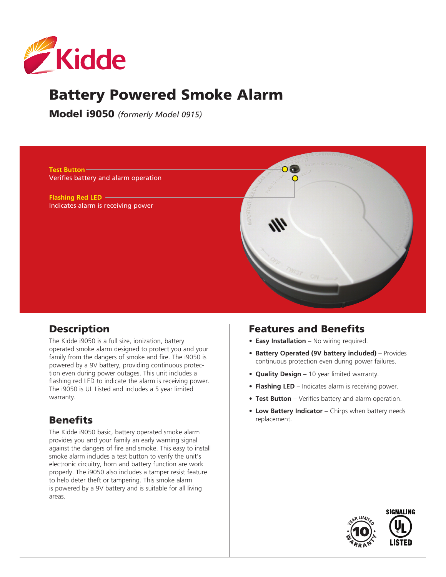

# Battery Powered Smoke Alarm

Model i9050 *(formerly Model 0915)*



### **Description**

The Kidde i9050 is a full size, ionization, battery operated smoke alarm designed to protect you and your family from the dangers of smoke and fire. The i9050 is powered by a 9V battery, providing continuous protection even during power outages. This unit includes a flashing red LED to indicate the alarm is receiving power. The i9050 is UL Listed and includes a 5 year limited warranty.

## **Benefits**

The Kidde i9050 basic, battery operated smoke alarm provides you and your family an early warning signal against the dangers of fire and smoke. This easy to install smoke alarm includes a test button to verify the unit's electronic circuitry, horn and battery function are work properly. The i9050 also includes a tamper resist feature to help deter theft or tampering. This smoke alarm is powered by a 9V battery and is suitable for all living areas.

### Features and Benefits

- **• Easy Installation** No wiring required.
- **• Battery Operated (9V battery included)** Provides continuous protection even during power failures.
- **• Quality Design** 10 year limited warranty.
- **• Flashing LED** Indicates alarm is receiving power.
- **• Test Button** Verifies battery and alarm operation.
- **• Low Battery Indicator** Chirps when battery needs replacement.